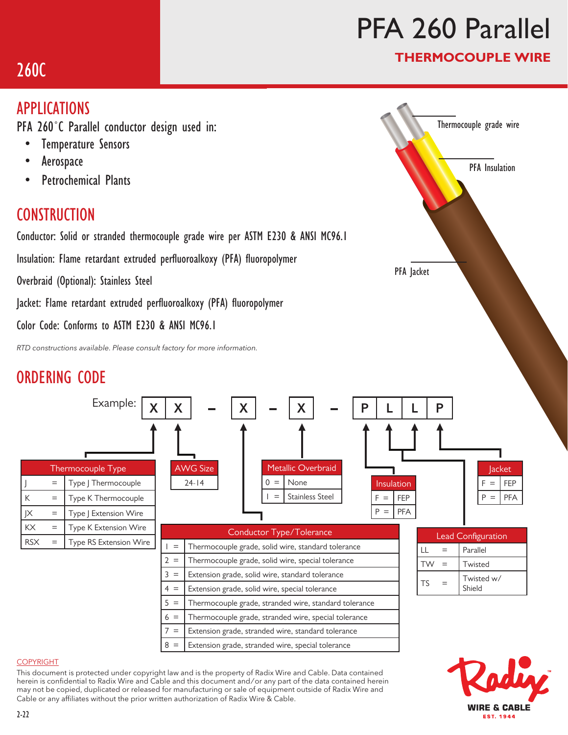# PFA 260 Parallel

PFA Jacket

### THERMOCOUPLE WIRE

Thermocouple grade wire

PFA Insulation

# 260C

### APPLICATIONS

PFA 260˚C Parallel conductor design used in:

- Temperature Sensors
- Aerospace
- Petrochemical Plants

### **CONSTRUCTION**

Conductor: Solid or stranded thermocouple grade wire per ASTM E230 & ANSI MC96.1

Insulation: Flame retardant extruded perfluoroalkoxy (PFA) fluoropolymer

Overbraid (Optional): Stainless Steel

Jacket: Flame retardant extruded perfluoroalkoxy (PFA) fluoropolymer

Color Code: Conforms to ASTM E230 & ANSI MC96.1

*RTD constructions available. Please consult factory for more information.*

## ORDERING CODE



#### COPYRIGHT

This document is protected under copyright law and is the property of Radix Wire and Cable. Data contained herein is confidential to Radix Wire and Cable and this document and / or any part of the data contained herein may not be copied, duplicated or released for manufacturing or sale of equipment outside of Radix Wire and Cable or any affiliates without the prior written authorization of Radix Wire & Cable.